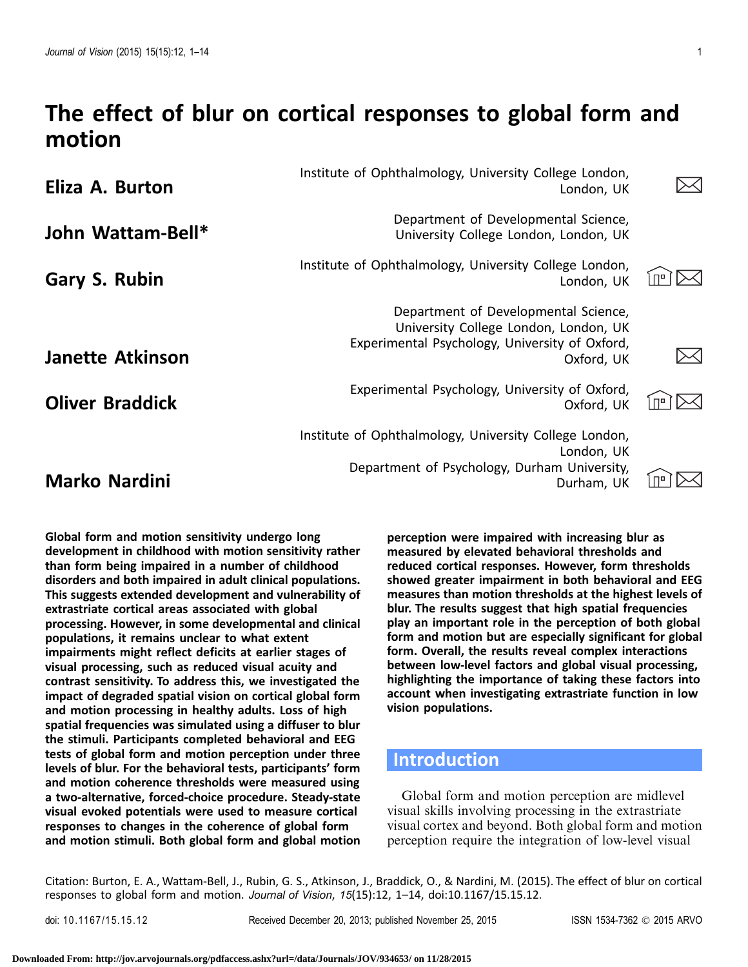# The effect of blur on cortical responses to global form and motion

| Eliza A. Burton         | Institute of Ophthalmology, University College London,<br>London, UK                                                                          |     |  |
|-------------------------|-----------------------------------------------------------------------------------------------------------------------------------------------|-----|--|
| John Wattam-Bell*       | Department of Developmental Science,<br>University College London, London, UK                                                                 |     |  |
| Gary S. Rubin           | Institute of Ophthalmology, University College London,<br>London, UK                                                                          |     |  |
| <b>Janette Atkinson</b> | Department of Developmental Science,<br>University College London, London, UK<br>Experimental Psychology, University of Oxford,<br>Oxford, UK |     |  |
| <b>Oliver Braddick</b>  | Experimental Psychology, University of Oxford,<br>Oxford, UK                                                                                  | פח∣ |  |
| <b>Marko Nardini</b>    | Institute of Ophthalmology, University College London,<br>London, UK<br>Department of Psychology, Durham University,<br>Durham, UK            |     |  |

Global form and motion sensitivity undergo long development in childhood with motion sensitivity rather than form being impaired in a number of childhood disorders and both impaired in adult clinical populations. This suggests extended development and vulnerability of extrastriate cortical areas associated with global processing. However, in some developmental and clinical populations, it remains unclear to what extent impairments might reflect deficits at earlier stages of visual processing, such as reduced visual acuity and contrast sensitivity. To address this, we investigated the impact of degraded spatial vision on cortical global form and motion processing in healthy adults. Loss of high spatial frequencies was simulated using a diffuser to blur the stimuli. Participants completed behavioral and EEG tests of global form and motion perception under three levels of blur. For the behavioral tests, participants' form and motion coherence thresholds were measured using a two-alternative, forced-choice procedure. Steady-state visual evoked potentials were used to measure cortical responses to changes in the coherence of global form and motion stimuli. Both global form and global motion

perception were impaired with increasing blur as measured by elevated behavioral thresholds and reduced cortical responses. However, form thresholds showed greater impairment in both behavioral and EEG measures than motion thresholds at the highest levels of blur. The results suggest that high spatial frequencies play an important role in the perception of both global form and motion but are especially significant for global form. Overall, the results reveal complex interactions between low-level factors and global visual processing, highlighting the importance of taking these factors into account when investigating extrastriate function in low vision populations.

## **Introduction**

Global form and motion perception are midlevel visual skills involving processing in the extrastriate visual cortex and beyond. Both global form and motion perception require the integration of low-level visual

Citation: Burton, E. A., Wattam-Bell, J., Rubin, G. S., Atkinson, J., Braddick, O., & Nardini, M. (2015). The effect of blur on cortical responses to global form and motion. Journal of Vision, 15(15):12, 1–14, doi:10.1167/15.15.12.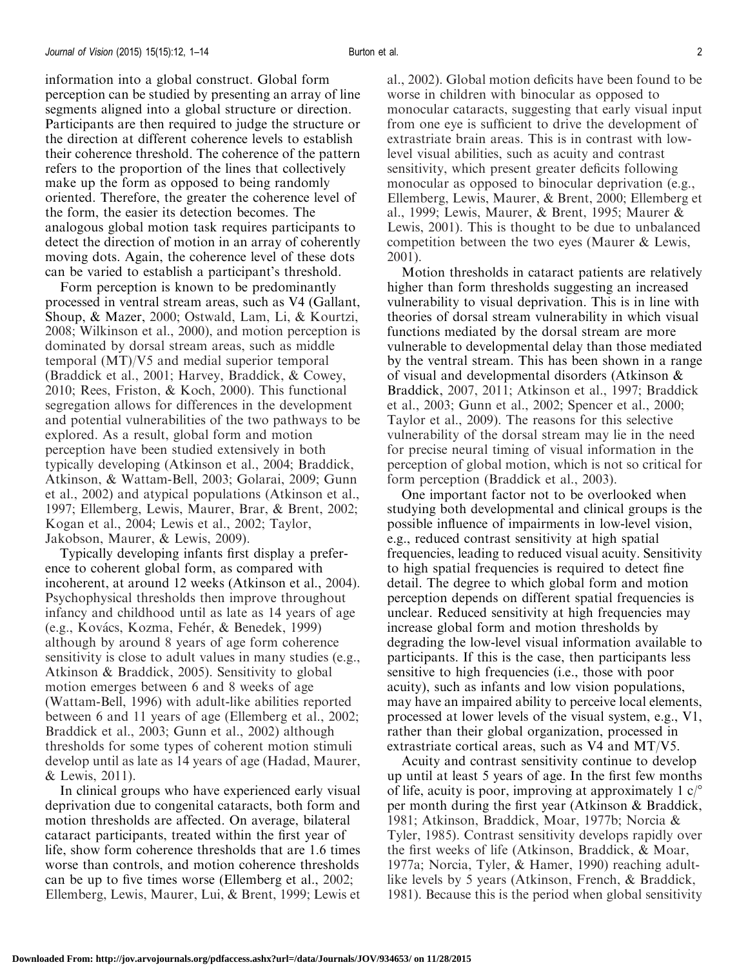information into a global construct. Global form perception can be studied by presenting an array of line segments aligned into a global structure or direction. Participants are then required to judge the structure or the direction at different coherence levels to establish their coherence threshold. The coherence of the pattern refers to the proportion of the lines that collectively make up the form as opposed to being randomly oriented. Therefore, the greater the coherence level of the form, the easier its detection becomes. The analogous global motion task requires participants to detect the direction of motion in an array of coherently moving dots. Again, the coherence level of these dots can be varied to establish a participant's threshold.

Form perception is known to be predominantly processed in ventral stream areas, such as V4 (Gallant, Shoup, & Mazer, [2000;](#page-11-0) Ostwald, Lam, Li, & Kourtzi, [2008;](#page-12-0) Wilkinson et al., [2000\)](#page-13-0), and motion perception is dominated by dorsal stream areas, such as middle temporal (MT)/V5 and medial superior temporal (Braddick et al., [2001](#page-11-0); Harvey, Braddick, & Cowey, [2010;](#page-11-0) Rees, Friston, & Koch, [2000\)](#page-12-0). This functional segregation allows for differences in the development and potential vulnerabilities of the two pathways to be explored. As a result, global form and motion perception have been studied extensively in both typically developing (Atkinson et al., [2004](#page-10-0); Braddick, Atkinson, & Wattam-Bell, [2003](#page-11-0); Golarai, [2009;](#page-11-0) Gunn et al., [2002](#page-11-0)) and atypical populations (Atkinson et al., [1997;](#page-10-0) Ellemberg, Lewis, Maurer, Brar, & Brent, [2002](#page-11-0); Kogan et al., [2004;](#page-11-0) Lewis et al., [2002](#page-12-0); Taylor, Jakobson, Maurer, & Lewis, [2009](#page-12-0)).

Typically developing infants first display a preference to coherent global form, as compared with incoherent, at around 12 weeks (Atkinson et al., [2004](#page-10-0)). Psychophysical thresholds then improve throughout infancy and childhood until as late as 14 years of age (e.g., Kova´cs, Kozma, Fehe´r, & Benedek, [1999\)](#page-12-0) although by around 8 years of age form coherence sensitivity is close to adult values in many studies (e.g., Atkinson & Braddick, [2005\)](#page-10-0). Sensitivity to global motion emerges between 6 and 8 weeks of age (Wattam-Bell, [1996\)](#page-12-0) with adult-like abilities reported between 6 and 11 years of age (Ellemberg et al., [2002;](#page-11-0) Braddick et al., [2003](#page-11-0); Gunn et al., [2002\)](#page-11-0) although thresholds for some types of coherent motion stimuli develop until as late as 14 years of age (Hadad, Maurer, & Lewis, [2011\)](#page-11-0).

In clinical groups who have experienced early visual deprivation due to congenital cataracts, both form and motion thresholds are affected. On average, bilateral cataract participants, treated within the first year of life, show form coherence thresholds that are 1.6 times worse than controls, and motion coherence thresholds can be up to five times worse (Ellemberg et al., [2002](#page-11-0); Ellemberg, Lewis, Maurer, Lui, & Brent, [1999](#page-11-0); Lewis et al., [2002](#page-12-0)). Global motion deficits have been found to be worse in children with binocular as opposed to monocular cataracts, suggesting that early visual input from one eye is sufficient to drive the development of extrastriate brain areas. This is in contrast with lowlevel visual abilities, such as acuity and contrast sensitivity, which present greater deficits following monocular as opposed to binocular deprivation (e.g., Ellemberg, Lewis, Maurer, & Brent, [2000](#page-11-0); Ellemberg et al., [1999;](#page-11-0) Lewis, Maurer, & Brent, [1995](#page-12-0); Maurer & Lewis, [2001\)](#page-12-0). This is thought to be due to unbalanced competition between the two eyes (Maurer & Lewis, [2001\)](#page-12-0).

Motion thresholds in cataract patients are relatively higher than form thresholds suggesting an increased vulnerability to visual deprivation. This is in line with theories of dorsal stream vulnerability in which visual functions mediated by the dorsal stream are more vulnerable to developmental delay than those mediated by the ventral stream. This has been shown in a range of visual and developmental disorders (Atkinson & Braddick, [2007](#page-10-0), [2011;](#page-10-0) Atkinson et al., [1997;](#page-10-0) Braddick et al., [2003;](#page-11-0) Gunn et al., [2002](#page-11-0); Spencer et al., [2000](#page-12-0); Taylor et al., [2009](#page-12-0)). The reasons for this selective vulnerability of the dorsal stream may lie in the need for precise neural timing of visual information in the perception of global motion, which is not so critical for form perception (Braddick et al., [2003\)](#page-11-0).

One important factor not to be overlooked when studying both developmental and clinical groups is the possible influence of impairments in low-level vision, e.g., reduced contrast sensitivity at high spatial frequencies, leading to reduced visual acuity. Sensitivity to high spatial frequencies is required to detect fine detail. The degree to which global form and motion perception depends on different spatial frequencies is unclear. Reduced sensitivity at high frequencies may increase global form and motion thresholds by degrading the low-level visual information available to participants. If this is the case, then participants less sensitive to high frequencies (i.e., those with poor acuity), such as infants and low vision populations, may have an impaired ability to perceive local elements, processed at lower levels of the visual system, e.g., V1, rather than their global organization, processed in extrastriate cortical areas, such as V4 and MT/V5.

Acuity and contrast sensitivity continue to develop up until at least 5 years of age. In the first few months of life, acuity is poor, improving at approximately 1  $c$ <sup>o</sup> per month during the first year (Atkinson & Braddick, [1981;](#page-10-0) Atkinson, Braddick, Moar, [1977b](#page-10-0); Norcia & Tyler, [1985\)](#page-12-0). Contrast sensitivity develops rapidly over the first weeks of life (Atkinson, Braddick, & Moar, [1977a](#page-10-0); Norcia, Tyler, & Hamer, [1990](#page-12-0)) reaching adultlike levels by 5 years (Atkinson, French, & Braddick, [1981\)](#page-10-0). Because this is the period when global sensitivity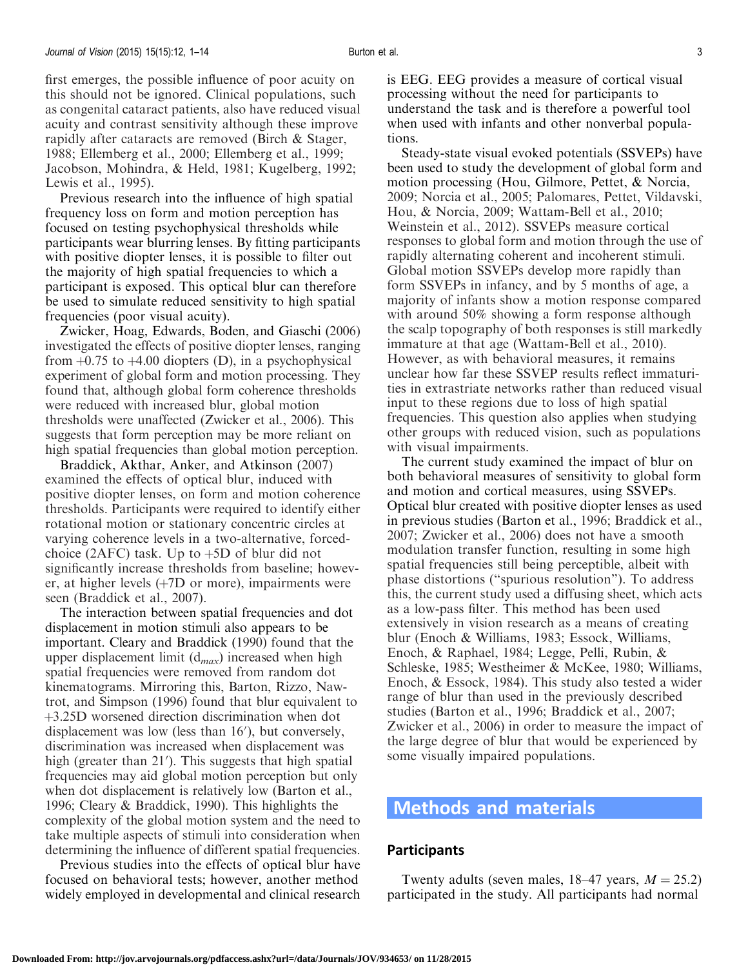<span id="page-2-0"></span>first emerges, the possible influence of poor acuity on this should not be ignored. Clinical populations, such as congenital cataract patients, also have reduced visual acuity and contrast sensitivity although these improve rapidly after cataracts are removed (Birch & Stager, [1988;](#page-11-0) Ellemberg et al., [2000;](#page-11-0) Ellemberg et al., [1999;](#page-11-0) Jacobson, Mohindra, & Held, [1981;](#page-11-0) Kugelberg, [1992;](#page-12-0) Lewis et al., [1995\)](#page-12-0).

Previous research into the influence of high spatial frequency loss on form and motion perception has focused on testing psychophysical thresholds while participants wear blurring lenses. By fitting participants with positive diopter lenses, it is possible to filter out the majority of high spatial frequencies to which a participant is exposed. This optical blur can therefore be used to simulate reduced sensitivity to high spatial frequencies (poor visual acuity).

Zwicker, Hoag, Edwards, Boden, and Giaschi [\(2006](#page-13-0)) investigated the effects of positive diopter lenses, ranging from  $+0.75$  to  $+4.00$  diopters (D), in a psychophysical experiment of global form and motion processing. They found that, although global form coherence thresholds were reduced with increased blur, global motion thresholds were unaffected (Zwicker et al., [2006](#page-13-0)). This suggests that form perception may be more reliant on high spatial frequencies than global motion perception.

Braddick, Akthar, Anker, and Atkinson [\(2007\)](#page-11-0) examined the effects of optical blur, induced with positive diopter lenses, on form and motion coherence thresholds. Participants were required to identify either rotational motion or stationary concentric circles at varying coherence levels in a two-alternative, forcedchoice (2AFC) task. Up to  $+5D$  of blur did not significantly increase thresholds from baseline; however, at higher levels  $(+7D)$  or more), impairments were seen (Braddick et al., [2007\)](#page-11-0).

The interaction between spatial frequencies and dot displacement in motion stimuli also appears to be important. Cleary and Braddick [\(1990](#page-11-0)) found that the upper displacement limit  $(d_{max})$  increased when high spatial frequencies were removed from random dot kinematograms. Mirroring this, Barton, Rizzo, Nawtrot, and Simpson [\(1996\)](#page-10-0) found that blur equivalent to þ3.25D worsened direction discrimination when dot displacement was low (less than  $16'$ ), but conversely, discrimination was increased when displacement was high (greater than 21'). This suggests that high spatial frequencies may aid global motion perception but only when dot displacement is relatively low (Barton et al., [1996](#page-10-0); Cleary & Braddick, [1990\)](#page-11-0). This highlights the complexity of the global motion system and the need to take multiple aspects of stimuli into consideration when determining the influence of different spatial frequencies.

Previous studies into the effects of optical blur have focused on behavioral tests; however, another method widely employed in developmental and clinical research is EEG. EEG provides a measure of cortical visual processing without the need for participants to understand the task and is therefore a powerful tool when used with infants and other nonverbal populations.

Steady-state visual evoked potentials (SSVEPs) have been used to study the development of global form and motion processing (Hou, Gilmore, Pettet, & Norcia, [2009;](#page-11-0) Norcia et al., [2005;](#page-12-0) Palomares, Pettet, Vildavski, Hou, & Norcia, [2009;](#page-12-0) Wattam-Bell et al., [2010;](#page-12-0) Weinstein et al., [2012\)](#page-13-0). SSVEPs measure cortical responses to global form and motion through the use of rapidly alternating coherent and incoherent stimuli. Global motion SSVEPs develop more rapidly than form SSVEPs in infancy, and by 5 months of age, a majority of infants show a motion response compared with around 50% showing a form response although the scalp topography of both responses is still markedly immature at that age (Wattam-Bell et al., [2010](#page-12-0)). However, as with behavioral measures, it remains unclear how far these SSVEP results reflect immaturities in extrastriate networks rather than reduced visual input to these regions due to loss of high spatial frequencies. This question also applies when studying other groups with reduced vision, such as populations with visual impairments.

The current study examined the impact of blur on both behavioral measures of sensitivity to global form and motion and cortical measures, using SSVEPs. Optical blur created with positive diopter lenses as used in previous studies (Barton et al., [1996](#page-10-0); Braddick et al., [2007;](#page-11-0) Zwicker et al., [2006](#page-13-0)) does not have a smooth modulation transfer function, resulting in some high spatial frequencies still being perceptible, albeit with phase distortions (''spurious resolution''). To address this, the current study used a diffusing sheet, which acts as a low-pass filter. This method has been used extensively in vision research as a means of creating blur (Enoch & Williams, [1983](#page-11-0); Essock, Williams, Enoch, & Raphael, [1984;](#page-11-0) Legge, Pelli, Rubin, & Schleske, [1985;](#page-12-0) Westheimer & McKee, [1980](#page-13-0); Williams, Enoch, & Essock, [1984\)](#page-13-0). This study also tested a wider range of blur than used in the previously described studies (Barton et al., [1996;](#page-10-0) Braddick et al., [2007;](#page-11-0) Zwicker et al., [2006\)](#page-13-0) in order to measure the impact of the large degree of blur that would be experienced by some visually impaired populations.

# Methods and materials

#### Participants

Twenty adults (seven males, 18–47 years,  $M = 25.2$ ) participated in the study. All participants had normal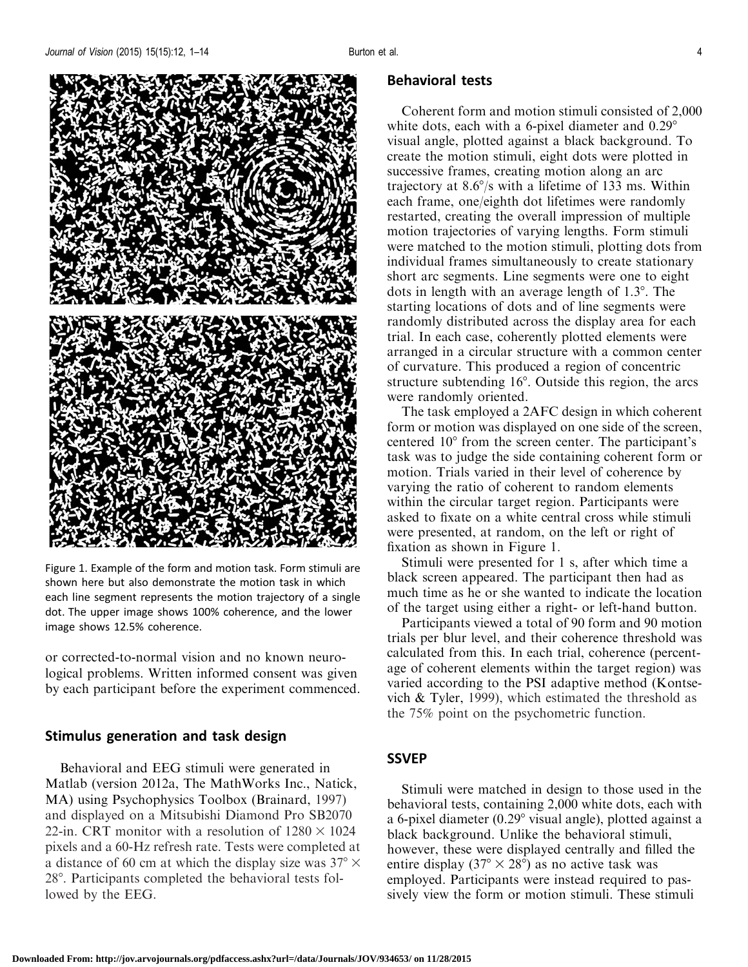

Figure 1. Example of the form and motion task. Form stimuli are shown here but also demonstrate the motion task in which each line segment represents the motion trajectory of a single dot. The upper image shows 100% coherence, and the lower image shows 12.5% coherence.

or corrected-to-normal vision and no known neurological problems. Written informed consent was given by each participant before the experiment commenced.

#### Stimulus generation and task design

Behavioral and EEG stimuli were generated in Matlab (version 2012a, The MathWorks Inc., Natick, MA) using Psychophysics Toolbox (Brainard, [1997\)](#page-11-0) and displayed on a Mitsubishi Diamond Pro SB2070 22-in. CRT monitor with a resolution of  $1280 \times 1024$ pixels and a 60-Hz refresh rate. Tests were completed at a distance of 60 cm at which the display size was  $37^{\circ} \times$ 28°. Participants completed the behavioral tests followed by the EEG.

#### Behavioral tests

Coherent form and motion stimuli consisted of 2,000 white dots, each with a 6-pixel diameter and  $0.29^{\circ}$ visual angle, plotted against a black background. To create the motion stimuli, eight dots were plotted in successive frames, creating motion along an arc trajectory at  $8.6^{\circ}/s$  with a lifetime of 133 ms. Within each frame, one/eighth dot lifetimes were randomly restarted, creating the overall impression of multiple motion trajectories of varying lengths. Form stimuli were matched to the motion stimuli, plotting dots from individual frames simultaneously to create stationary short arc segments. Line segments were one to eight dots in length with an average length of  $1.3^{\circ}$ . The starting locations of dots and of line segments were randomly distributed across the display area for each trial. In each case, coherently plotted elements were arranged in a circular structure with a common center of curvature. This produced a region of concentric structure subtending  $16^\circ$ . Outside this region, the arcs were randomly oriented.

The task employed a 2AFC design in which coherent form or motion was displayed on one side of the screen, centered 10<sup>°</sup> from the screen center. The participant's task was to judge the side containing coherent form or motion. Trials varied in their level of coherence by varying the ratio of coherent to random elements within the circular target region. Participants were asked to fixate on a white central cross while stimuli were presented, at random, on the left or right of fixation as shown in Figure 1.

Stimuli were presented for 1 s, after which time a black screen appeared. The participant then had as much time as he or she wanted to indicate the location of the target using either a right- or left-hand button.

Participants viewed a total of 90 form and 90 motion trials per blur level, and their coherence threshold was calculated from this. In each trial, coherence (percentage of coherent elements within the target region) was varied according to the PSI adaptive method (Kontsevich & Tyler, [1999](#page-11-0)), which estimated the threshold as the 75% point on the psychometric function.

#### **SSVEP**

Stimuli were matched in design to those used in the behavioral tests, containing 2,000 white dots, each with a 6-pixel diameter  $(0.29°)$  visual angle), plotted against a black background. Unlike the behavioral stimuli, however, these were displayed centrally and filled the entire display ( $37^{\circ} \times 28^{\circ}$ ) as no active task was employed. Participants were instead required to passively view the form or motion stimuli. These stimuli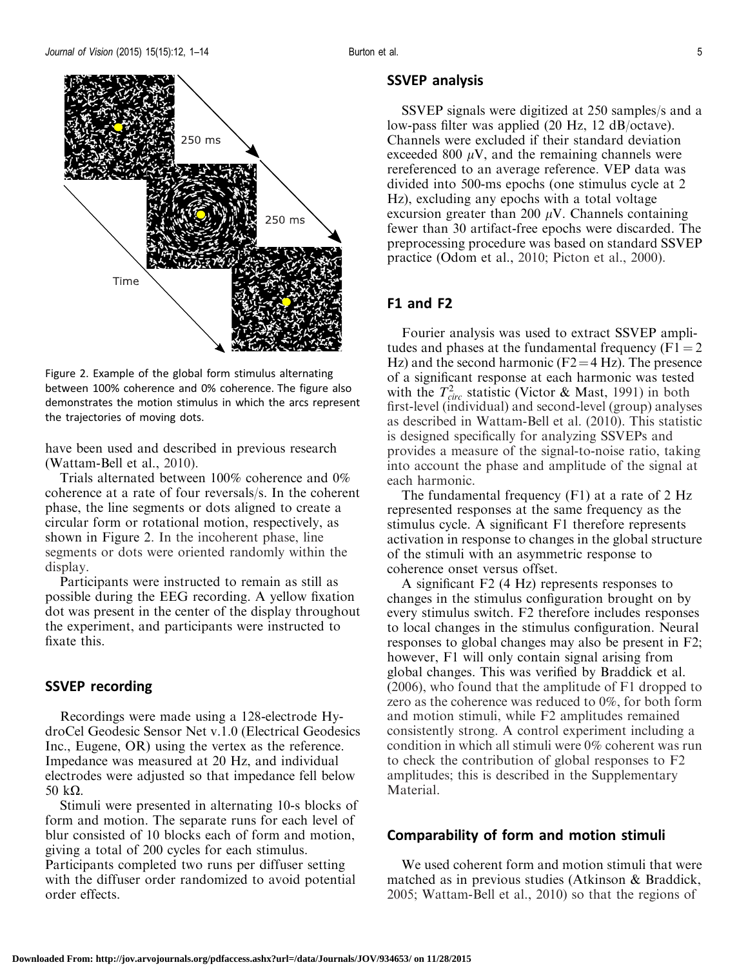

Figure 2. Example of the global form stimulus alternating between 100% coherence and 0% coherence. The figure also demonstrates the motion stimulus in which the arcs represent the trajectories of moving dots.

have been used and described in previous research (Wattam-Bell et al., [2010](#page-12-0)).

Trials alternated between 100% coherence and 0% coherence at a rate of four reversals/s. In the coherent phase, the line segments or dots aligned to create a circular form or rotational motion, respectively, as shown in Figure 2. In the incoherent phase, line segments or dots were oriented randomly within the display.

Participants were instructed to remain as still as possible during the EEG recording. A yellow fixation dot was present in the center of the display throughout the experiment, and participants were instructed to fixate this.

#### SSVEP recording

Recordings were made using a 128-electrode HydroCel Geodesic Sensor Net v.1.0 (Electrical Geodesics Inc., Eugene, OR) using the vertex as the reference. Impedance was measured at 20 Hz, and individual electrodes were adjusted so that impedance fell below 50 k $\Omega$ .

Stimuli were presented in alternating 10-s blocks of form and motion. The separate runs for each level of blur consisted of 10 blocks each of form and motion, giving a total of 200 cycles for each stimulus. Participants completed two runs per diffuser setting with the diffuser order randomized to avoid potential order effects.

SSVEP analysis

SSVEP signals were digitized at 250 samples/s and a low-pass filter was applied (20 Hz, 12 dB/octave). Channels were excluded if their standard deviation exceeded 800  $\mu$ V, and the remaining channels were rereferenced to an average reference. VEP data was divided into 500-ms epochs (one stimulus cycle at 2 Hz), excluding any epochs with a total voltage excursion greater than 200  $\mu$ V. Channels containing fewer than 30 artifact-free epochs were discarded. The preprocessing procedure was based on standard SSVEP practice (Odom et al., [2010](#page-12-0); Picton et al., [2000\)](#page-12-0).

#### F1 and F2

Fourier analysis was used to extract SSVEP amplitudes and phases at the fundamental frequency ( $F1 = 2$ ) Hz) and the second harmonic ( $F2 = 4$  Hz). The presence of a significant response at each harmonic was tested with the  $T_{circ}^2$  statistic (Victor & Mast, [1991](#page-12-0)) in both first-level (individual) and second-level (group) analyses as described in Wattam-Bell et al. [\(2010](#page-12-0)). This statistic is designed specifically for analyzing SSVEPs and provides a measure of the signal-to-noise ratio, taking into account the phase and amplitude of the signal at each harmonic.

The fundamental frequency (F1) at a rate of 2 Hz represented responses at the same frequency as the stimulus cycle. A significant F1 therefore represents activation in response to changes in the global structure of the stimuli with an asymmetric response to coherence onset versus offset.

A significant F2 (4 Hz) represents responses to changes in the stimulus configuration brought on by every stimulus switch. F2 therefore includes responses to local changes in the stimulus configuration. Neural responses to global changes may also be present in F2; however, F1 will only contain signal arising from global changes. This was verified by Braddick et al. ([2006](#page-11-0)), who found that the amplitude of F1 dropped to zero as the coherence was reduced to 0%, for both form and motion stimuli, while F2 amplitudes remained consistently strong. A control experiment including a condition in which all stimuli were 0% coherent was run to check the contribution of global responses to F2 amplitudes; this is described in the [Supplementary](http://) [Material](http://).

#### Comparability of form and motion stimuli

We used coherent form and motion stimuli that were matched as in previous studies (Atkinson & Braddick, [2005;](#page-10-0) Wattam-Bell et al., [2010\)](#page-12-0) so that the regions of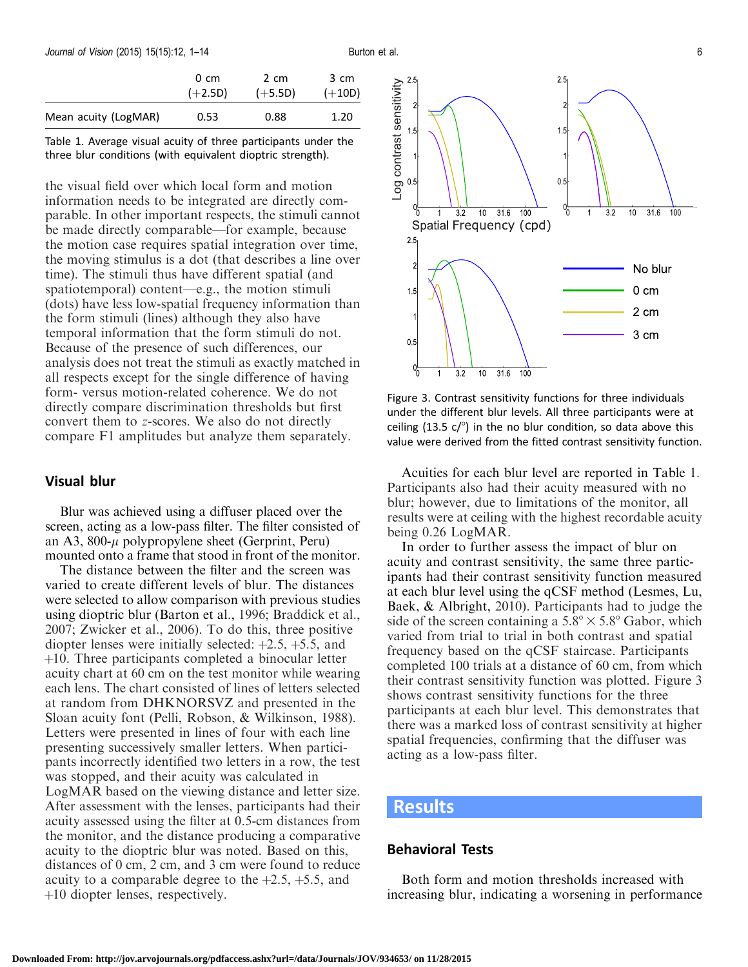|                      | $0 \, cm$ | 2 cm      | 3 cm     |
|----------------------|-----------|-----------|----------|
|                      | $(+2.5D)$ | $(+5.5D)$ | $(+10D)$ |
| Mean acuity (LogMAR) | 0.53      | 0.88      | 1.20     |

Table 1. Average visual acuity of three participants under the three blur conditions (with equivalent dioptric strength).

the visual field over which local form and motion information needs to be integrated are directly comparable. In other important respects, the stimuli cannot be made directly comparable—for example, because the motion case requires spatial integration over time, the moving stimulus is a dot (that describes a line over time). The stimuli thus have different spatial (and spatiotemporal) content—e.g., the motion stimuli (dots) have less low-spatial frequency information than the form stimuli (lines) although they also have temporal information that the form stimuli do not. Because of the presence of such differences, our analysis does not treat the stimuli as exactly matched in all respects except for the single difference of having form- versus motion-related coherence. We do not directly compare discrimination thresholds but first convert them to z-scores. We also do not directly compare F1 amplitudes but analyze them separately.

#### Visual blur

Blur was achieved using a diffuser placed over the screen, acting as a low-pass filter. The filter consisted of an A3, 800- $\mu$  polypropylene sheet (Gerprint, Peru) mounted onto a frame that stood in front of the monitor.

The distance between the filter and the screen was varied to create different levels of blur. The distances were selected to allow comparison with previous studies using dioptric blur (Barton et al., [1996](#page-10-0); Braddick et al., [2007;](#page-11-0) Zwicker et al., [2006](#page-13-0)). To do this, three positive diopter lenses were initially selected:  $+2.5, +5.5,$  and  $+10$ . Three participants completed a binocular letter acuity chart at 60 cm on the test monitor while wearing each lens. The chart consisted of lines of letters selected at random from DHKNORSVZ and presented in the Sloan acuity font (Pelli, Robson, & Wilkinson, [1988](#page-12-0)). Letters were presented in lines of four with each line presenting successively smaller letters. When participants incorrectly identified two letters in a row, the test was stopped, and their acuity was calculated in LogMAR based on the viewing distance and letter size. After assessment with the lenses, participants had their acuity assessed using the filter at 0.5-cm distances from the monitor, and the distance producing a comparative acuity to the dioptric blur was noted. Based on this, distances of 0 cm, 2 cm, and 3 cm were found to reduce acuity to a comparable degree to the  $+2.5, +5.5$ , and  $+10$  diopter lenses, respectively.



Figure 3. Contrast sensitivity functions for three individuals under the different blur levels. All three participants were at ceiling (13.5  $c/°$ ) in the no blur condition, so data above this value were derived from the fitted contrast sensitivity function.

Acuities for each blur level are reported in Table 1. Participants also had their acuity measured with no blur; however, due to limitations of the monitor, all results were at ceiling with the highest recordable acuity being 0.26 LogMAR.

In order to further assess the impact of blur on acuity and contrast sensitivity, the same three participants had their contrast sensitivity function measured at each blur level using the qCSF method (Lesmes, Lu, Baek, & Albright, [2010](#page-12-0)). Participants had to judge the side of the screen containing a  $5.8^{\circ} \times 5.8^{\circ}$  Gabor, which varied from trial to trial in both contrast and spatial frequency based on the qCSF staircase. Participants completed 100 trials at a distance of 60 cm, from which their contrast sensitivity function was plotted. Figure 3 shows contrast sensitivity functions for the three participants at each blur level. This demonstrates that there was a marked loss of contrast sensitivity at higher spatial frequencies, confirming that the diffuser was acting as a low-pass filter.

# Results

#### Behavioral Tests

Both form and motion thresholds increased with increasing blur, indicating a worsening in performance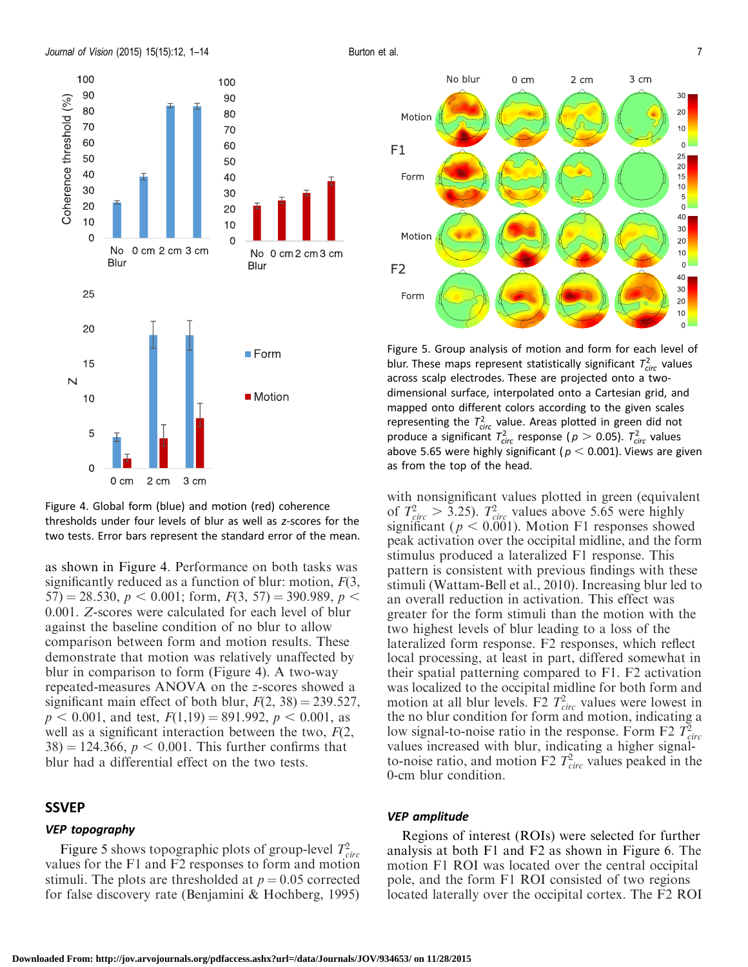<span id="page-6-0"></span>



as shown in Figure 4. Performance on both tasks was significantly reduced as a function of blur: motion,  $F(3)$ ,  $57$ ) = 28.530,  $p < 0.001$ ; form,  $F(3, 57) = 390.989$ ,  $p <$ 0.001. Z-scores were calculated for each level of blur against the baseline condition of no blur to allow comparison between form and motion results. These demonstrate that motion was relatively unaffected by blur in comparison to form (Figure 4). A two-way repeated-measures ANOVA on the z-scores showed a significant main effect of both blur,  $F(2, 38) = 239.527$ ,  $p < 0.001$ , and test,  $F(1,19) = 891.992$ ,  $p < 0.001$ , as well as a significant interaction between the two,  $F(2)$ ,  $38$ ) = 124.366, p < 0.001. This further confirms that blur had a differential effect on the two tests.

#### **SSVEP**

#### VEP topography

Figure 5 shows topographic plots of group-level  $T_{circ}^2$ values for the F1 and F2 responses to form and motion stimuli. The plots are thresholded at  $p = 0.05$  corrected for false discovery rate (Benjamini & Hochberg, [1995\)](#page-11-0)



Figure 5. Group analysis of motion and form for each level of blur. These maps represent statistically significant  $\mathcal{T}^2_{circ}$  values across scalp electrodes. These are projected onto a twodimensional surface, interpolated onto a Cartesian grid, and mapped onto different colors according to the given scales representing the  $\mathcal{T}^2_{circ}$  value. Areas plotted in green did not produce a significant  $T_{circ}^2$  response ( $p >$  0.05).  $T_{circ}^2$  values above 5.65 were highly significant ( $p < 0.001$ ). Views are given as from the top of the head.

with nonsignificant values plotted in green (equivalent of  $T_{circ}^2 > 3.25$ ).  $T_{circ}^2$  values above 5.65 were highly significant ( $p < 0.001$ ). Motion F1 responses showed peak activation over the occipital midline, and the form stimulus produced a lateralized F1 response. This pattern is consistent with previous findings with these stimuli (Wattam-Bell et al., [2010](#page-12-0)). Increasing blur led to an overall reduction in activation. This effect was greater for the form stimuli than the motion with the two highest levels of blur leading to a loss of the lateralized form response. F2 responses, which reflect local processing, at least in part, differed somewhat in their spatial patterning compared to F1. F2 activation was localized to the occipital midline for both form and motion at all blur levels.  $F2 T_{circ}^2$  values were lowest in the no blur condition for form and motion, indicating a low signal-to-noise ratio in the response. Form F2  $T_{circ}^2$ values increased with blur, indicating a higher signalto-noise ratio, and motion F2  $T_{circ}^2$  values peaked in the 0-cm blur condition.

#### VEP amplitude

Regions of interest (ROIs) were selected for further analysis at both F1 and F2 as shown in [Figure 6](#page-7-0). The motion F1 ROI was located over the central occipital pole, and the form F1 ROI consisted of two regions located laterally over the occipital cortex. The F2 ROI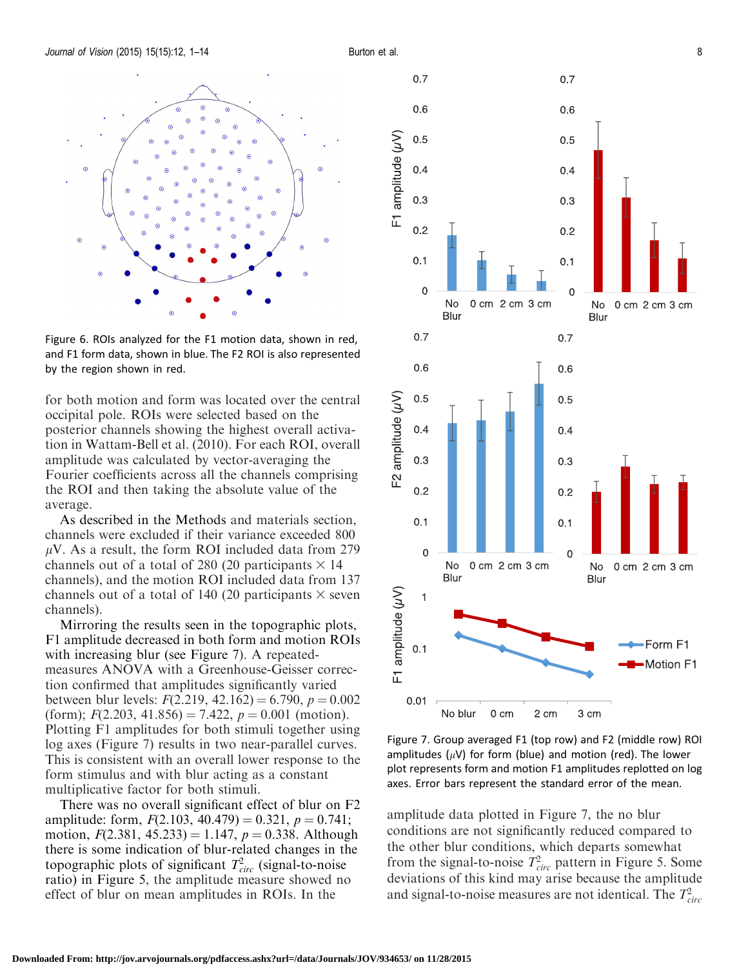<span id="page-7-0"></span>

Figure 6. ROIs analyzed for the F1 motion data, shown in red, and F1 form data, shown in blue. The F2 ROI is also represented by the region shown in red.

for both motion and form was located over the central occipital pole. ROIs were selected based on the posterior channels showing the highest overall activation in Wattam-Bell et al. [\(2010](#page-12-0)). For each ROI, overall amplitude was calculated by vector-averaging the Fourier coefficients across all the channels comprising the ROI and then taking the absolute value of the average.

As described in the Methods [and materials](#page-2-0) section, channels were excluded if their variance exceeded 800  $\mu$ V. As a result, the form ROI included data from 279 channels out of a total of 280 (20 participants  $\times$  14 channels), and the motion ROI included data from 137 channels out of a total of 140 (20 participants  $\times$  seven channels).

Mirroring the results seen in the topographic plots, F1 amplitude decreased in both form and motion ROIs with increasing blur (see Figure 7). A repeatedmeasures ANOVA with a Greenhouse-Geisser correction confirmed that amplitudes significantly varied between blur levels:  $F(2.219, 42.162) = 6.790, p = 0.002$ (form);  $F(2.203, 41.856) = 7.422$ ,  $p = 0.001$  (motion). Plotting F1 amplitudes for both stimuli together using log axes (Figure 7) results in two near-parallel curves. This is consistent with an overall lower response to the form stimulus and with blur acting as a constant multiplicative factor for both stimuli.

There was no overall significant effect of blur on F2 amplitude: form,  $F(2.103, 40.479) = 0.321, p = 0.741;$ motion,  $F(2.381, 45.233) = 1.147, p = 0.338$ . Although there is some indication of blur-related changes in the topographic plots of significant  $T_{circ}^2$  (signal-to-noise ratio) in [Figure 5](#page-6-0), the amplitude measure showed no effect of blur on mean amplitudes in ROIs. In the



Figure 7. Group averaged F1 (top row) and F2 (middle row) ROI amplitudes ( $\mu$ V) for form (blue) and motion (red). The lower plot represents form and motion F1 amplitudes replotted on log axes. Error bars represent the standard error of the mean.

amplitude data plotted in Figure 7, the no blur conditions are not significantly reduced compared to the other blur conditions, which departs somewhat from the signal-to-noise  $T_{circ}^2$  pattern in [Figure 5](#page-6-0). Some deviations of this kind may arise because the amplitude and signal-to-noise measures are not identical. The  $T_{circ}^2$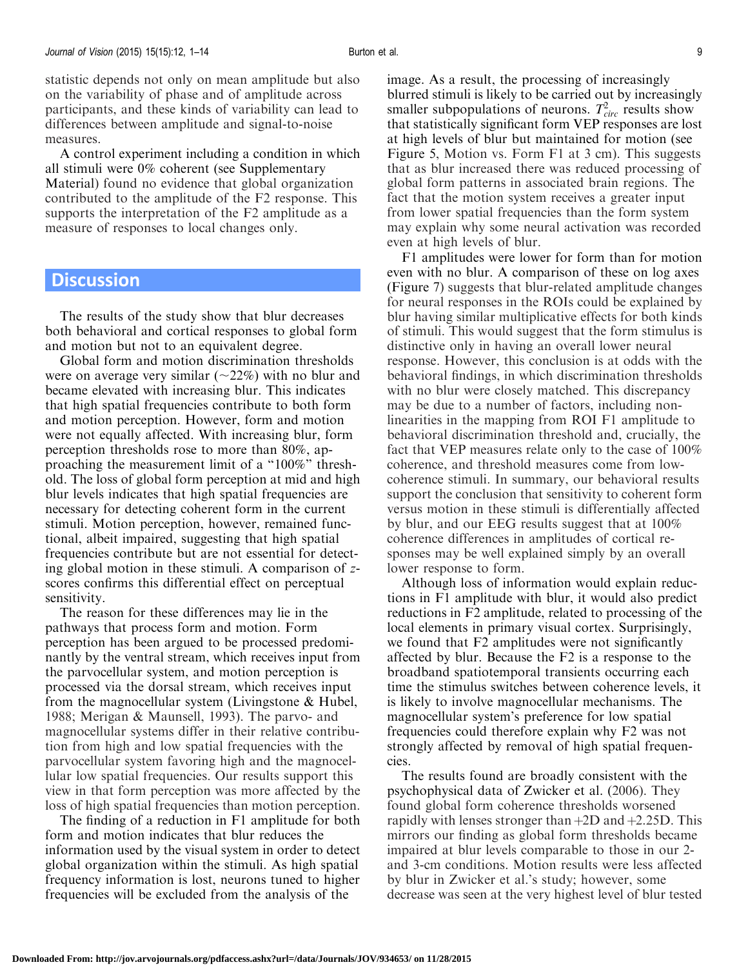statistic depends not only on mean amplitude but also on the variability of phase and of amplitude across participants, and these kinds of variability can lead to differences between amplitude and signal-to-noise measures.

A control experiment including a condition in which all stimuli were 0% coherent (see [Supplementary](http://) [Material](http://)) found no evidence that global organization contributed to the amplitude of the F2 response. This supports the interpretation of the F2 amplitude as a measure of responses to local changes only.

#### **Discussion**

The results of the study show that blur decreases both behavioral and cortical responses to global form and motion but not to an equivalent degree.

Global form and motion discrimination thresholds were on average very similar ( $\sim$ 22%) with no blur and became elevated with increasing blur. This indicates that high spatial frequencies contribute to both form and motion perception. However, form and motion were not equally affected. With increasing blur, form perception thresholds rose to more than 80%, approaching the measurement limit of a ''100%'' threshold. The loss of global form perception at mid and high blur levels indicates that high spatial frequencies are necessary for detecting coherent form in the current stimuli. Motion perception, however, remained functional, albeit impaired, suggesting that high spatial frequencies contribute but are not essential for detecting global motion in these stimuli. A comparison of zscores confirms this differential effect on perceptual sensitivity.

The reason for these differences may lie in the pathways that process form and motion. Form perception has been argued to be processed predominantly by the ventral stream, which receives input from the parvocellular system, and motion perception is processed via the dorsal stream, which receives input from the magnocellular system (Livingstone & Hubel, [1988;](#page-12-0) Merigan & Maunsell, [1993\)](#page-12-0). The parvo- and magnocellular systems differ in their relative contribution from high and low spatial frequencies with the parvocellular system favoring high and the magnocellular low spatial frequencies. Our results support this view in that form perception was more affected by the loss of high spatial frequencies than motion perception.

The finding of a reduction in F1 amplitude for both form and motion indicates that blur reduces the information used by the visual system in order to detect global organization within the stimuli. As high spatial frequency information is lost, neurons tuned to higher frequencies will be excluded from the analysis of the

image. As a result, the processing of increasingly blurred stimuli is likely to be carried out by increasingly smaller subpopulations of neurons.  $T_{circ}^2$  results show that statistically significant form VEP responses are lost at high levels of blur but maintained for motion (see [Figure 5,](#page-6-0) Motion vs. Form F1 at 3 cm). This suggests that as blur increased there was reduced processing of global form patterns in associated brain regions. The fact that the motion system receives a greater input from lower spatial frequencies than the form system may explain why some neural activation was recorded even at high levels of blur.

F1 amplitudes were lower for form than for motion even with no blur. A comparison of these on log axes ([Figure 7](#page-7-0)) suggests that blur-related amplitude changes for neural responses in the ROIs could be explained by blur having similar multiplicative effects for both kinds of stimuli. This would suggest that the form stimulus is distinctive only in having an overall lower neural response. However, this conclusion is at odds with the behavioral findings, in which discrimination thresholds with no blur were closely matched. This discrepancy may be due to a number of factors, including nonlinearities in the mapping from ROI F1 amplitude to behavioral discrimination threshold and, crucially, the fact that VEP measures relate only to the case of 100% coherence, and threshold measures come from lowcoherence stimuli. In summary, our behavioral results support the conclusion that sensitivity to coherent form versus motion in these stimuli is differentially affected by blur, and our EEG results suggest that at 100% coherence differences in amplitudes of cortical responses may be well explained simply by an overall lower response to form.

Although loss of information would explain reductions in F1 amplitude with blur, it would also predict reductions in F2 amplitude, related to processing of the local elements in primary visual cortex. Surprisingly, we found that F2 amplitudes were not significantly affected by blur. Because the F2 is a response to the broadband spatiotemporal transients occurring each time the stimulus switches between coherence levels, it is likely to involve magnocellular mechanisms. The magnocellular system's preference for low spatial frequencies could therefore explain why F2 was not strongly affected by removal of high spatial frequencies.

The results found are broadly consistent with the psychophysical data of Zwicker et al. [\(2006](#page-13-0)). They found global form coherence thresholds worsened rapidly with lenses stronger than  $+2D$  and  $+2.25D$ . This mirrors our finding as global form thresholds became impaired at blur levels comparable to those in our 2 and 3-cm conditions. Motion results were less affected by blur in Zwicker et al.'s study; however, some decrease was seen at the very highest level of blur tested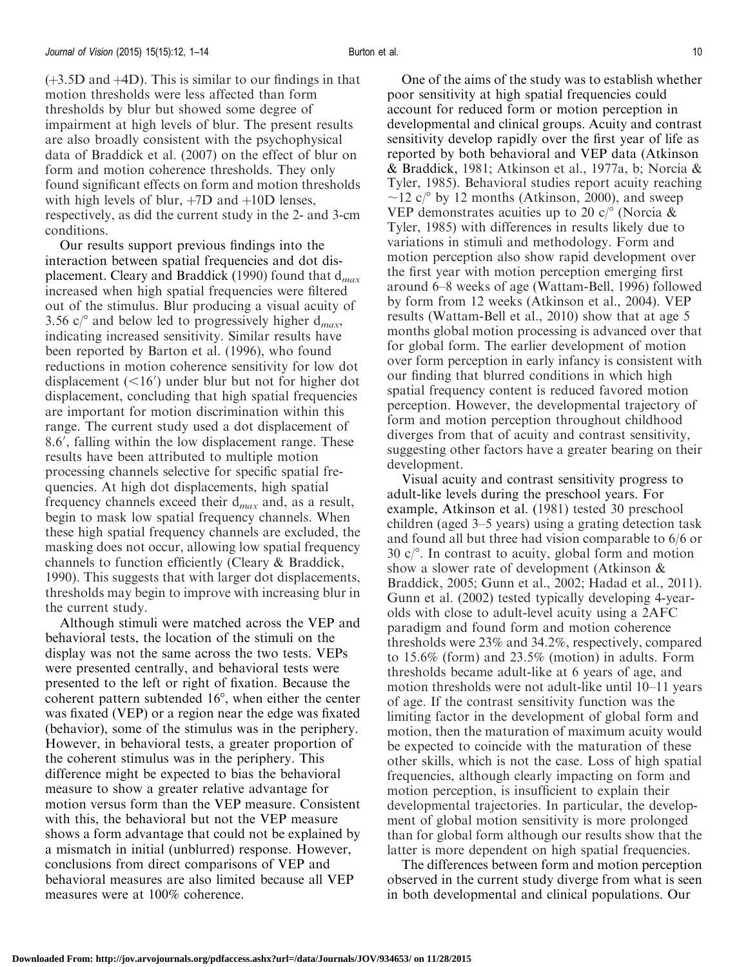$(+3.5D$  and  $+4D$ ). This is similar to our findings in that motion thresholds were less affected than form thresholds by blur but showed some degree of impairment at high levels of blur. The present results are also broadly consistent with the psychophysical data of Braddick et al. ([2007\)](#page-11-0) on the effect of blur on form and motion coherence thresholds. They only found significant effects on form and motion thresholds with high levels of blur,  $+7D$  and  $+10D$  lenses, respectively, as did the current study in the 2- and 3-cm conditions.

Our results support previous findings into the interaction between spatial frequencies and dot dis-placement. Cleary and Braddick [\(1990](#page-11-0)) found that  $d_{max}$ increased when high spatial frequencies were filtered out of the stimulus. Blur producing a visual acuity of 3.56 c/ $\degree$  and below led to progressively higher d<sub>max</sub>, indicating increased sensitivity. Similar results have been reported by Barton et al. [\(1996](#page-10-0)), who found reductions in motion coherence sensitivity for low dot displacement  $(\leq 16')$  under blur but not for higher dot displacement, concluding that high spatial frequencies are important for motion discrimination within this range. The current study used a dot displacement of 8.6', falling within the low displacement range. These results have been attributed to multiple motion processing channels selective for specific spatial frequencies. At high dot displacements, high spatial frequency channels exceed their  $d_{max}$  and, as a result, begin to mask low spatial frequency channels. When these high spatial frequency channels are excluded, the masking does not occur, allowing low spatial frequency channels to function efficiently (Cleary & Braddick, [1990\)](#page-11-0). This suggests that with larger dot displacements, thresholds may begin to improve with increasing blur in the current study.

Although stimuli were matched across the VEP and behavioral tests, the location of the stimuli on the display was not the same across the two tests. VEPs were presented centrally, and behavioral tests were presented to the left or right of fixation. Because the coherent pattern subtended  $16^{\circ}$ , when either the center was fixated (VEP) or a region near the edge was fixated (behavior), some of the stimulus was in the periphery. However, in behavioral tests, a greater proportion of the coherent stimulus was in the periphery. This difference might be expected to bias the behavioral measure to show a greater relative advantage for motion versus form than the VEP measure. Consistent with this, the behavioral but not the VEP measure shows a form advantage that could not be explained by a mismatch in initial (unblurred) response. However, conclusions from direct comparisons of VEP and behavioral measures are also limited because all VEP measures were at 100% coherence.

One of the aims of the study was to establish whether poor sensitivity at high spatial frequencies could account for reduced form or motion perception in developmental and clinical groups. Acuity and contrast sensitivity develop rapidly over the first year of life as reported by both behavioral and VEP data (Atkinson & Braddick, [1981](#page-10-0); Atkinson et al., [1977a](#page-10-0), [b;](#page-10-0) Norcia & Tyler, [1985](#page-12-0)). Behavioral studies report acuity reaching  $\sim$ 12 c/ $\degree$  by 12 months (Atkinson, [2000](#page-10-0)), and sweep VEP demonstrates acuities up to 20  $c$ <sup>o</sup> (Norcia & Tyler, [1985](#page-12-0)) with differences in results likely due to variations in stimuli and methodology. Form and motion perception also show rapid development over the first year with motion perception emerging first around 6–8 weeks of age (Wattam-Bell, [1996\)](#page-12-0) followed by form from 12 weeks (Atkinson et al., [2004\)](#page-10-0). VEP results (Wattam-Bell et al., [2010\)](#page-12-0) show that at age 5 months global motion processing is advanced over that for global form. The earlier development of motion over form perception in early infancy is consistent with our finding that blurred conditions in which high spatial frequency content is reduced favored motion perception. However, the developmental trajectory of form and motion perception throughout childhood diverges from that of acuity and contrast sensitivity, suggesting other factors have a greater bearing on their development.

Visual acuity and contrast sensitivity progress to adult-like levels during the preschool years. For example, Atkinson et al. [\(1981\)](#page-10-0) tested 30 preschool children (aged 3–5 years) using a grating detection task and found all but three had vision comparable to 6/6 or  $30 \text{ c}/\textdegree$ . In contrast to acuity, global form and motion show a slower rate of development (Atkinson & Braddick, [2005;](#page-10-0) Gunn et al., [2002;](#page-11-0) Hadad et al., [2011](#page-11-0)). Gunn et al. ([2002](#page-11-0)) tested typically developing 4-yearolds with close to adult-level acuity using a 2AFC paradigm and found form and motion coherence thresholds were 23% and 34.2%, respectively, compared to 15.6% (form) and 23.5% (motion) in adults. Form thresholds became adult-like at 6 years of age, and motion thresholds were not adult-like until 10–11 years of age. If the contrast sensitivity function was the limiting factor in the development of global form and motion, then the maturation of maximum acuity would be expected to coincide with the maturation of these other skills, which is not the case. Loss of high spatial frequencies, although clearly impacting on form and motion perception, is insufficient to explain their developmental trajectories. In particular, the development of global motion sensitivity is more prolonged than for global form although our results show that the latter is more dependent on high spatial frequencies.

The differences between form and motion perception observed in the current study diverge from what is seen in both developmental and clinical populations. Our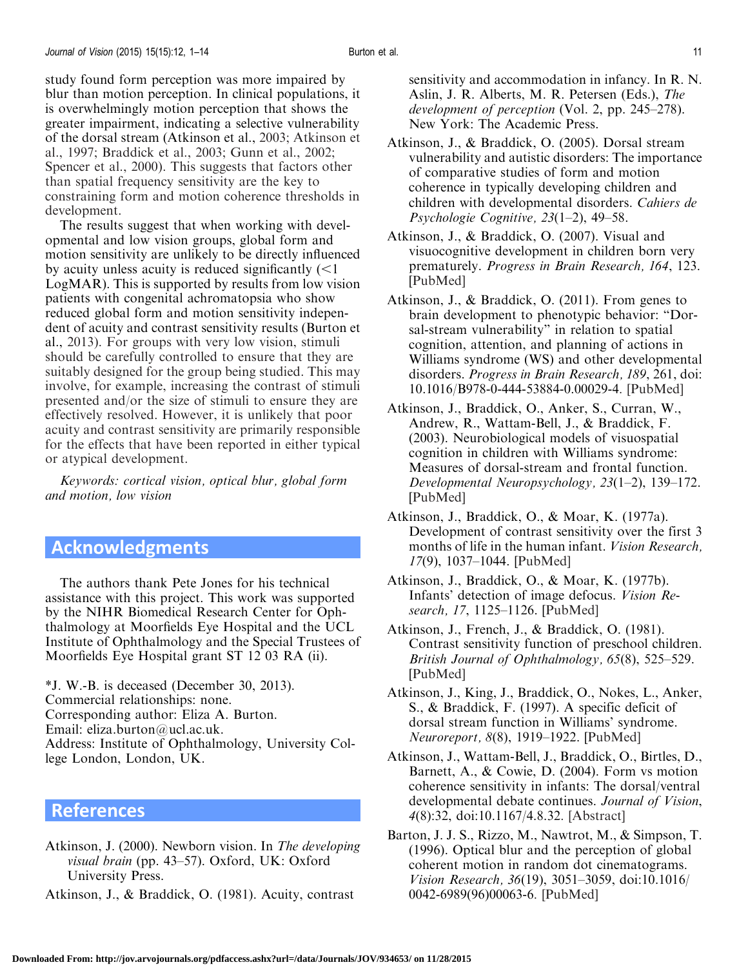<span id="page-10-0"></span>study found form perception was more impaired by blur than motion perception. In clinical populations, it is overwhelmingly motion perception that shows the greater impairment, indicating a selective vulnerability of the dorsal stream (Atkinson et al., 2003; Atkinson et al., 1997; Braddick et al., [2003](#page-11-0); Gunn et al., [2002](#page-11-0); Spencer et al., [2000](#page-12-0)). This suggests that factors other than spatial frequency sensitivity are the key to constraining form and motion coherence thresholds in development.

The results suggest that when working with developmental and low vision groups, global form and motion sensitivity are unlikely to be directly influenced by acuity unless acuity is reduced significantly  $\leq 1$ LogMAR). This is supported by results from low vision patients with congenital achromatopsia who show reduced global form and motion sensitivity independent of acuity and contrast sensitivity results (Burton et al., [2013\)](#page-11-0). For groups with very low vision, stimuli should be carefully controlled to ensure that they are suitably designed for the group being studied. This may involve, for example, increasing the contrast of stimuli presented and/or the size of stimuli to ensure they are effectively resolved. However, it is unlikely that poor acuity and contrast sensitivity are primarily responsible for the effects that have been reported in either typical or atypical development.

Keywords: cortical vision, optical blur, global form and motion, low vision

# **Acknowledgments**

The authors thank Pete Jones for his technical assistance with this project. This work was supported by the NIHR Biomedical Research Center for Ophthalmology at Moorfields Eye Hospital and the UCL Institute of Ophthalmology and the Special Trustees of Moorfields Eye Hospital grant ST 12 03 RA (ii).

\*J. W.-B. is deceased (December 30, 2013). Commercial relationships: none. Corresponding author: Eliza A. Burton. Email: eliza.burton@ucl.ac.uk. Address: Institute of Ophthalmology, University College London, London, UK.

### References

- Atkinson, J. (2000). Newborn vision. In The developing visual brain (pp. 43–57). Oxford, UK: Oxford University Press.
- Atkinson, J., & Braddick, O. (1981). Acuity, contrast

sensitivity and accommodation in infancy. In R. N. Aslin, J. R. Alberts, M. R. Petersen (Eds.), The development of perception (Vol. 2, pp. 245–278). New York: The Academic Press.

- Atkinson, J., & Braddick, O. (2005). Dorsal stream vulnerability and autistic disorders: The importance of comparative studies of form and motion coherence in typically developing children and children with developmental disorders. Cahiers de Psychologie Cognitive, 23(1–2), 49–58.
- Atkinson, J., & Braddick, O. (2007). Visual and visuocognitive development in children born very prematurely. Progress in Brain Research, 164, 123. [[PubMed](http://www.ncbi.nlm.nih.gov/pubmed/17920429)]
- Atkinson, J., & Braddick, O. (2011). From genes to brain development to phenotypic behavior: ''Dorsal-stream vulnerability'' in relation to spatial cognition, attention, and planning of actions in Williams syndrome (WS) and other developmental disorders. Progress in Brain Research, 189, 261, doi: 10.1016/B978-0-444-53884-0.00029-4. [\[PubMed\]](http://www.ncbi.nlm.nih.gov/pubmed/21489394)
- Atkinson, J., Braddick, O., Anker, S., Curran, W., Andrew, R., Wattam-Bell, J., & Braddick, F. (2003). Neurobiological models of visuospatial cognition in children with Williams syndrome: Measures of dorsal-stream and frontal function. Developmental Neuropsychology, 23(1–2), 139–172. [[PubMed](http://www.ncbi.nlm.nih.gov/pubmed/12730023)]
- Atkinson, J., Braddick, O., & Moar, K. (1977a). Development of contrast sensitivity over the first 3 months of life in the human infant. Vision Research, 17(9), 1037–1044. [\[PubMed](http://www.ncbi.nlm.nih.gov/pubmed/595412)]
- Atkinson, J., Braddick, O., & Moar, K. (1977b). Infants' detection of image defocus. Vision Research, 17, 1125–1126. [[PubMed](http://www.ncbi.nlm.nih.gov/pubmed/595424)]
- Atkinson, J., French, J., & Braddick, O. (1981). Contrast sensitivity function of preschool children. British Journal of Ophthalmology, 65(8), 525–529. [[PubMed](http://www.ncbi.nlm.nih.gov/pubmed/7295613)]
- Atkinson, J., King, J., Braddick, O., Nokes, L., Anker, S., & Braddick, F. (1997). A specific deficit of dorsal stream function in Williams' syndrome. Neuroreport, 8(8), 1919–1922. [\[PubMed\]](http://www.ncbi.nlm.nih.gov/pubmed/9223077)
- Atkinson, J., Wattam-Bell, J., Braddick, O., Birtles, D., Barnett, A., & Cowie, D. (2004). Form vs motion coherence sensitivity in infants: The dorsal/ventral developmental debate continues. Journal of Vision, 4(8):32, doi:10.1167/4.8.32. [[Abstract](http://jov.arvojournals.org/article.aspx?articleid=2130981&resultClick=1A)]
- Barton, J. J. S., Rizzo, M., Nawtrot, M., & Simpson, T. (1996). Optical blur and the perception of global coherent motion in random dot cinematograms. Vision Research, 36(19), 3051–3059, doi:10.1016/ 0042-6989(96)00063-6. [[PubMed](http://www.ncbi.nlm.nih.gov/pubmed/8917768)]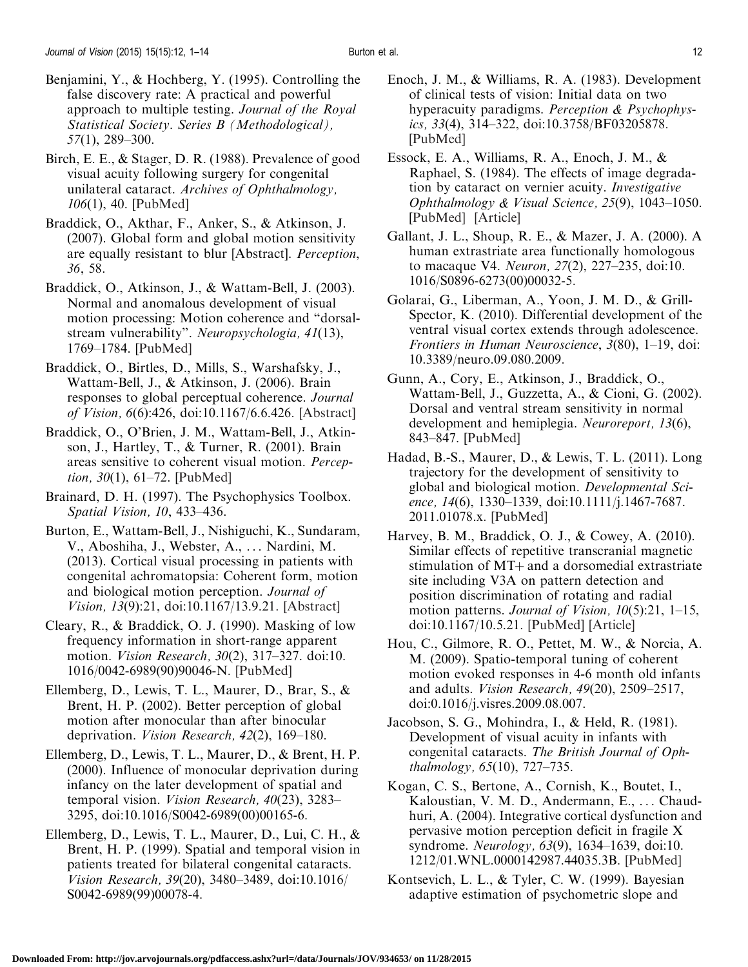- <span id="page-11-0"></span>Benjamini, Y., & Hochberg, Y. (1995). Controlling the false discovery rate: A practical and powerful approach to multiple testing. Journal of the Royal Statistical Society. Series B (Methodological), 57(1), 289–300.
- Birch, E. E., & Stager, D. R. (1988). Prevalence of good visual acuity following surgery for congenital unilateral cataract. Archives of Ophthalmology, 106(1), 40. [\[PubMed\]](http://www.ncbi.nlm.nih.gov/pubmed/3422151)
- Braddick, O., Akthar, F., Anker, S., & Atkinson, J. (2007). Global form and global motion sensitivity are equally resistant to blur [Abstract]. Perception, 36, 58.
- Braddick, O., Atkinson, J., & Wattam-Bell, J. (2003). Normal and anomalous development of visual motion processing: Motion coherence and ''dorsalstream vulnerability". Neuropsychologia, 41(13), 1769–1784. [[PubMed](http://www.ncbi.nlm.nih.gov/pubmed/14527540)]
- Braddick, O., Birtles, D., Mills, S., Warshafsky, J., Wattam-Bell, J., & Atkinson, J. (2006). Brain responses to global perceptual coherence. Journal of Vision, 6(6):426, doi:10.1167/6.6.426. [[Abstract](http://jov.arvojournals.org/article.aspx?articleid=2133384&resultClick=1)]
- Braddick, O., O'Brien, J. M., Wattam-Bell, J., Atkinson, J., Hartley, T., & Turner, R. (2001). Brain areas sensitive to coherent visual motion. Perception, 30(1), 61–72. [\[PubMed\]](http://www.ncbi.nlm.nih.gov/pubmed/11257978)
- Brainard, D. H. (1997). The Psychophysics Toolbox. Spatial Vision, 10, 433–436.
- Burton, E., Wattam-Bell, J., Nishiguchi, K., Sundaram, V., Aboshiha, J., Webster, A., ... Nardini, M. (2013). Cortical visual processing in patients with congenital achromatopsia: Coherent form, motion and biological motion perception. Journal of Vision, 13(9):21, doi:10.1167/13.9.21. [\[Abstract\]](http://jov.arvojournals.org/article.aspx?articleid=2142128&resultClick=1)
- Cleary, R., & Braddick, O. J. (1990). Masking of low frequency information in short-range apparent motion. Vision Research, 30(2), 317–327. doi:10. 1016/0042-6989(90)90046-N. [[PubMed](http://www.ncbi.nlm.nih.gov/pubmed/2309465)]
- Ellemberg, D., Lewis, T. L., Maurer, D., Brar, S., & Brent, H. P. (2002). Better perception of global motion after monocular than after binocular deprivation. Vision Research, 42(2), 169–180.
- Ellemberg, D., Lewis, T. L., Maurer, D., & Brent, H. P. (2000). Influence of monocular deprivation during infancy on the later development of spatial and temporal vision. Vision Research, 40(23), 3283– 3295, doi:10.1016/S0042-6989(00)00165-6.
- Ellemberg, D., Lewis, T. L., Maurer, D., Lui, C. H., & Brent, H. P. (1999). Spatial and temporal vision in patients treated for bilateral congenital cataracts. Vision Research, 39(20), 3480–3489, doi:10.1016/ S0042-6989(99)00078-4.
- Enoch, J. M., & Williams, R. A. (1983). Development of clinical tests of vision: Initial data on two hyperacuity paradigms. Perception & Psychophysics, 33(4), 314–322, doi:10.3758/BF03205878. [[PubMed](http://www.ncbi.nlm.nih.gov/pubmed/6866693)]
- Essock, E. A., Williams, R. A., Enoch, J. M., & Raphael, S. (1984). The effects of image degradation by cataract on vernier acuity. Investigative Ophthalmology & Visual Science, 25(9), 1043–1050. [[PubMed](http://www.ncbi.nlm.nih.gov/pubmed/6469488)] [\[Article](http://iovs.arvojournals.org/article.aspx?articleid=2176925)]
- Gallant, J. L., Shoup, R. E., & Mazer, J. A. (2000). A human extrastriate area functionally homologous to macaque V4. Neuron, 27(2), 227–235, doi:10. 1016/S0896-6273(00)00032-5.
- Golarai, G., Liberman, A., Yoon, J. M. D., & Grill-Spector, K. (2010). Differential development of the ventral visual cortex extends through adolescence. Frontiers in Human Neuroscience, 3(80), 1–19, doi: 10.3389/neuro.09.080.2009.
- Gunn, A., Cory, E., Atkinson, J., Braddick, O., Wattam-Bell, J., Guzzetta, A., & Cioni, G. (2002). Dorsal and ventral stream sensitivity in normal development and hemiplegia. Neuroreport, 13(6), 843–847. [[PubMed](http://www.ncbi.nlm.nih.gov/pubmed/11997698)]
- Hadad, B.-S., Maurer, D., & Lewis, T. L. (2011). Long trajectory for the development of sensitivity to global and biological motion. Developmental Science, 14(6), 1330–1339, doi:10.1111/j.1467-7687. 2011.01078.x. [\[PubMed](http://www.ncbi.nlm.nih.gov/pubmed/22010893)]
- Harvey, B. M., Braddick, O. J., & Cowey, A. (2010). Similar effects of repetitive transcranial magnetic stimulation of  $MT+$  and a dorsomedial extrastriate site including V3A on pattern detection and position discrimination of rotating and radial motion patterns. Journal of Vision, 10(5):21, 1–15, doi:10.1167/10.5.21. [\[PubMed\]](http://www.ncbi.nlm.nih.gov/pubmed/20616130) [\[Article\]](http://jov.arvojournals.org/article.aspx?articleid=2121257)
- Hou, C., Gilmore, R. O., Pettet, M. W., & Norcia, A. M. (2009). Spatio-temporal tuning of coherent motion evoked responses in 4-6 month old infants and adults. Vision Research, 49(20), 2509–2517, doi:0.1016/j.visres.2009.08.007.
- Jacobson, S. G., Mohindra, I., & Held, R. (1981). Development of visual acuity in infants with congenital cataracts. The British Journal of Ophthalmology, 65(10), 727–735.
- Kogan, C. S., Bertone, A., Cornish, K., Boutet, I., Kaloustian, V. M. D., Andermann, E., ... Chaudhuri, A. (2004). Integrative cortical dysfunction and pervasive motion perception deficit in fragile X syndrome. Neurology, 63(9), 1634–1639, doi:10. 1212/01.WNL.0000142987.44035.3B. [[PubMed](http://www.ncbi.nlm.nih.gov/pubmed/15534248)]
- Kontsevich, L. L., & Tyler, C. W. (1999). Bayesian adaptive estimation of psychometric slope and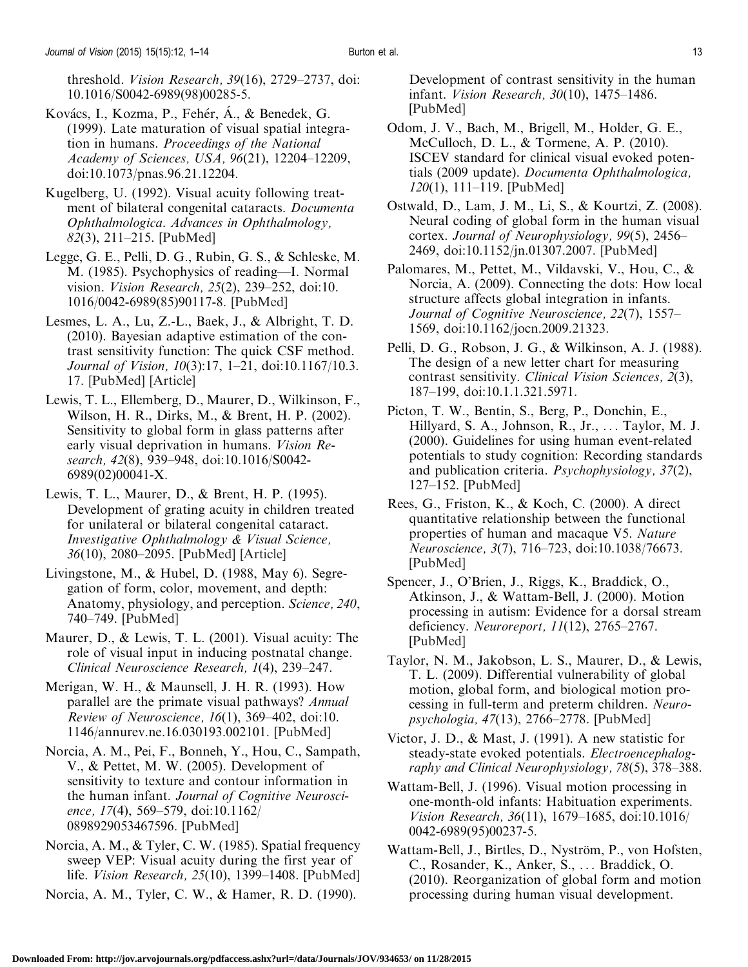<span id="page-12-0"></span>threshold. Vision Research, 39(16), 2729–2737, doi: 10.1016/S0042-6989(98)00285-5.

- Kovács, I., Kozma, P., Fehér, Á., & Benedek, G. (1999). Late maturation of visual spatial integration in humans. Proceedings of the National Academy of Sciences, USA, 96(21), 12204–12209, doi:10.1073/pnas.96.21.12204.
- Kugelberg, U. (1992). Visual acuity following treatment of bilateral congenital cataracts. Documenta Ophthalmologica. Advances in Ophthalmology, 82(3), 211–215. [\[PubMed\]](http://www.ncbi.nlm.nih.gov/pubmed/1303856)
- Legge, G. E., Pelli, D. G., Rubin, G. S., & Schleske, M. M. (1985). Psychophysics of reading—I. Normal vision. Vision Research, 25(2), 239–252, doi:10. 1016/0042-6989(85)90117-8. [\[PubMed\]](http://www.ncbi.nlm.nih.gov/pubmed/4013091)
- Lesmes, L. A., Lu, Z.-L., Baek, J., & Albright, T. D. (2010). Bayesian adaptive estimation of the contrast sensitivity function: The quick CSF method. Journal of Vision, 10(3):17, 1–21, doi:10.1167/10.3. 17. [\[PubMed\]](http://www.ncbi.nlm.nih.gov/pubmed/20377294) [\[Article](http://jov.arvojournals.org/article.aspx?articleid=2158170)]
- Lewis, T. L., Ellemberg, D., Maurer, D., Wilkinson, F., Wilson, H. R., Dirks, M., & Brent, H. P. (2002). Sensitivity to global form in glass patterns after early visual deprivation in humans. Vision Research, 42(8), 939–948, doi:10.1016/S0042- 6989(02)00041-X.
- Lewis, T. L., Maurer, D., & Brent, H. P. (1995). Development of grating acuity in children treated for unilateral or bilateral congenital cataract. Investigative Ophthalmology & Visual Science, 36(10), 2080–2095. [[PubMed\]](http://www.ncbi.nlm.nih.gov/pubmed/7657547) [[Article](http://iovs.arvojournals.org/article.aspx?articleid=2161334&resultClick=1)]
- Livingstone, M., & Hubel, D. (1988, May 6). Segregation of form, color, movement, and depth: Anatomy, physiology, and perception. Science, 240, 740–749. [[PubMed](http://www.ncbi.nlm.nih.gov/pubmed/3283936)]
- Maurer, D., & Lewis, T. L. (2001). Visual acuity: The role of visual input in inducing postnatal change. Clinical Neuroscience Research, 1(4), 239–247.
- Merigan, W. H., & Maunsell, J. H. R. (1993). How parallel are the primate visual pathways? Annual Review of Neuroscience, 16(1), 369–402, doi:10. 1146/annurev.ne.16.030193.002101. [\[PubMed\]](http://www.ncbi.nlm.nih.gov/pubmed/8460898)
- Norcia, A. M., Pei, F., Bonneh, Y., Hou, C., Sampath, V., & Pettet, M. W. (2005). Development of sensitivity to texture and contour information in the human infant. Journal of Cognitive Neuroscience, 17(4), 569–579, doi:10.1162/ 0898929053467596. [\[PubMed](http://www.ncbi.nlm.nih.gov/pubmed/15829078)]
- Norcia, A. M., & Tyler, C. W. (1985). Spatial frequency sweep VEP: Visual acuity during the first year of life. Vision Research, 25(10), 1399–1408. [\[PubMed\]](http://www.ncbi.nlm.nih.gov/pubmed/4090273)
- Norcia, A. M., Tyler, C. W., & Hamer, R. D. (1990).

Development of contrast sensitivity in the human infant. Vision Research, 30(10), 1475–1486. [[PubMed](http://www.ncbi.nlm.nih.gov/pubmed/2247957)]

- Odom, J. V., Bach, M., Brigell, M., Holder, G. E., McCulloch, D. L., & Tormene, A. P. (2010). ISCEV standard for clinical visual evoked potentials (2009 update). Documenta Ophthalmologica, 120(1), 111–119. [[PubMed\]](http://www.ncbi.nlm.nih.gov/pubmed/19826847)
- Ostwald, D., Lam, J. M., Li, S., & Kourtzi, Z. (2008). Neural coding of global form in the human visual cortex. Journal of Neurophysiology, 99(5), 2456– 2469, doi:10.1152/jn.01307.2007. [[PubMed](http://www.ncbi.nlm.nih.gov/pubmed/18322002)]
- Palomares, M., Pettet, M., Vildavski, V., Hou, C., & Norcia, A. (2009). Connecting the dots: How local structure affects global integration in infants. Journal of Cognitive Neuroscience, 22(7), 1557– 1569, doi:10.1162/jocn.2009.21323.
- Pelli, D. G., Robson, J. G., & Wilkinson, A. J. (1988). The design of a new letter chart for measuring contrast sensitivity. Clinical Vision Sciences, 2(3), 187–199, doi:10.1.1.321.5971.
- Picton, T. W., Bentin, S., Berg, P., Donchin, E., Hillyard, S. A., Johnson, R., Jr., ... Taylor, M. J. (2000). Guidelines for using human event-related potentials to study cognition: Recording standards and publication criteria. Psychophysiology, 37(2), 127–152. [[PubMed](http://www.ncbi.nlm.nih.gov/pubmed/10731765)]
- Rees, G., Friston, K., & Koch, C. (2000). A direct quantitative relationship between the functional properties of human and macaque V5. Nature Neuroscience, 3(7), 716–723, doi:10.1038/76673. [[PubMed](http://www.ncbi.nlm.nih.gov/pubmed/10862705)]
- Spencer, J., O'Brien, J., Riggs, K., Braddick, O., Atkinson, J., & Wattam-Bell, J. (2000). Motion processing in autism: Evidence for a dorsal stream deficiency. Neuroreport, 11(12), 2765–2767. [[PubMed](http://www.ncbi.nlm.nih.gov/pubmed/10976959)]
- Taylor, N. M., Jakobson, L. S., Maurer, D., & Lewis, T. L. (2009). Differential vulnerability of global motion, global form, and biological motion processing in full-term and preterm children. Neuropsychologia, 47(13), 2766–2778. [\[PubMed\]](http://www.ncbi.nlm.nih.gov/pubmed/19520094)
- Victor, J. D., & Mast, J. (1991). A new statistic for steady-state evoked potentials. Electroencephalography and Clinical Neurophysiology, 78(5), 378–388.
- Wattam-Bell, J. (1996). Visual motion processing in one-month-old infants: Habituation experiments. Vision Research, 36(11), 1679–1685, doi:10.1016/ 0042-6989(95)00237-5.
- Wattam-Bell, J., Birtles, D., Nyström, P., von Hofsten, C., Rosander, K., Anker, S., . . . Braddick, O. (2010). Reorganization of global form and motion processing during human visual development.